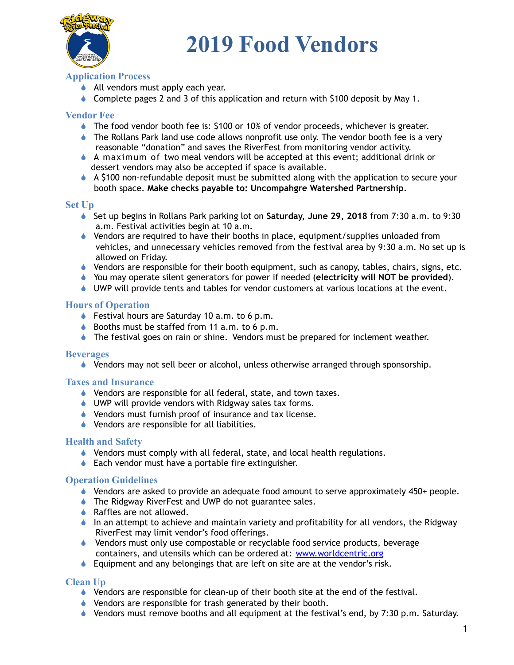

## **2019 Food Vendors**

### **Application Process**

- ◆ All vendors must apply each year.
- $\bullet$  Complete pages 2 and 3 of this application and return with \$100 deposit by May 1.

#### **Vendor Fee**

- ! The food vendor booth fee is: \$100 or 10% of vendor proceeds, whichever is greater.
- ♦ The Rollans Park land use code allows nonprofit use only. The vendor booth fee is a very reasonable "donation" and saves the RiverFest from monitoring vendor activity.
- $\bullet$  A maximum of two meal vendors will be accepted at this event; additional drink or dessert vendors may also be accepted if space is available.
- $\triangle$  A \$100 non-refundable deposit must be submitted along with the application to secure your booth space. **Make checks payable to: Uncompahgre Watershed Partnership**.

#### **Set Up**

- ! Set up begins in Rollans Park parking lot on **Saturday, June 29, 2018** from 7:30 a.m. to 9:30 a.m. Festival activities begin at 10 a.m.
- $\bullet$  Vendors are required to have their booths in place, equipment/supplies unloaded from vehicles, and unnecessary vehicles removed from the festival area by 9:30 a.m. No set up is allowed on Friday.
- ! Vendors are responsible for their booth equipment, such as canopy, tables, chairs, signs, etc.
- ! You may operate silent generators for power if needed (**electricity will NOT be provided**).
- $\bullet$  UWP will provide tents and tables for vendor customers at various locations at the event.

#### **Hours of Operation**

- ◆ Festival hours are Saturday 10 a.m. to 6 p.m.
- $\bullet$  Booths must be staffed from 11 a.m. to 6 p.m.
- ♦ The festival goes on rain or shine. Vendors must be prepared for inclement weather.

#### **Beverages**

• Vendors may not sell beer or alcohol, unless otherwise arranged through sponsorship.

#### **Taxes and Insurance**

- ♦ Vendors are responsible for all federal, state, and town taxes.
- ♦ UWP will provide vendors with Ridgway sales tax forms.
- ! Vendors must furnish proof of insurance and tax license.
- ! Vendors are responsible for all liabilities.

#### **Health and Safety**

- ! Vendors must comply with all federal, state, and local health regulations.
- $\triangle$  Each vendor must have a portable fire extinguisher.

#### **Operation Guidelines**

- $\bullet$  Vendors are asked to provide an adequate food amount to serve approximately 450+ people.
- ♦ The Ridgway RiverFest and UWP do not guarantee sales.
- $\triangle$  Raffles are not allowed.
- In an attempt to achieve and maintain variety and profitability for all vendors, the Ridgway RiverFest may limit vendor's food offerings.
- ! Vendors must only use compostable or recyclable food service products, beverage containers, and utensils which can be ordered at: [www.worldcentric.org](http://www.worldcentric.org/)
- ! Equipment and any belongings that are left on site are at the vendor's risk.

#### **Clean Up**

- $\bullet$  Vendors are responsible for clean-up of their booth site at the end of the festival.
- ! Vendors are responsible for trash generated by their booth.
- $\bullet$  Vendors must remove booths and all equipment at the festival's end, by 7:30 p.m. Saturday.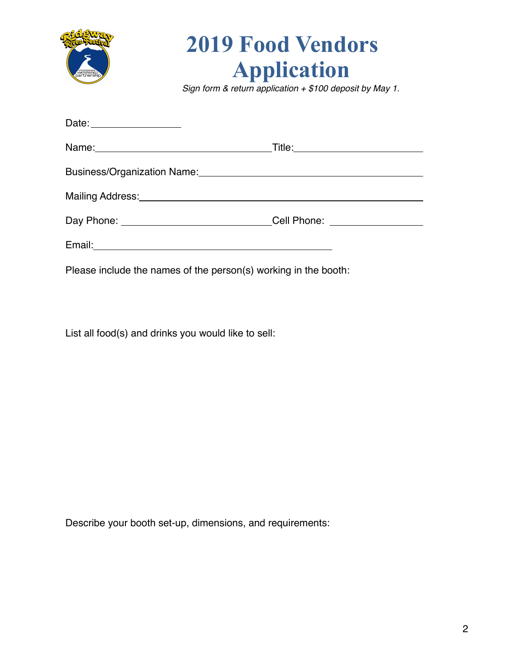

## **2019 Food Vendors Application**

*Sign form & return application + \$100 deposit by May 1.*

| Date: <u>Date:</u>                                                                                                                                                                                                            |  |
|-------------------------------------------------------------------------------------------------------------------------------------------------------------------------------------------------------------------------------|--|
|                                                                                                                                                                                                                               |  |
|                                                                                                                                                                                                                               |  |
| Mailing Address: Management of the Community of the Community of the Community of the Community of the Community of the Community of the Community of the Community of the Community of the Community of the Community of the |  |
| Day Phone: ______________________________Cell Phone: ___________________________                                                                                                                                              |  |
|                                                                                                                                                                                                                               |  |
| Please include the names of the person(s) working in the booth:                                                                                                                                                               |  |

List all food(s) and drinks you would like to sell:

Describe your booth set-up, dimensions, and requirements: